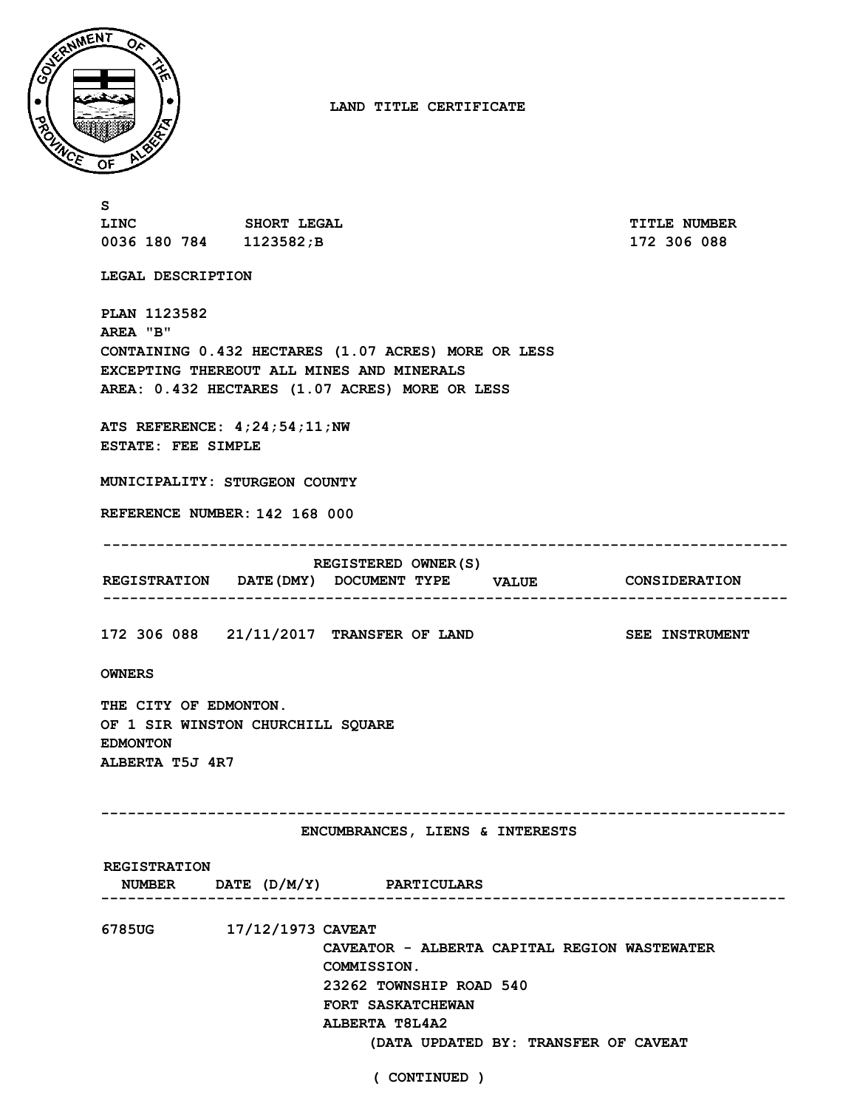

**LAND TITLE CERTIFICATE**

**S LINC SHORT LEGAL TITLE NUMBER 0036 180 784 1123582;B 172 306 088 LEGAL DESCRIPTION PLAN 1123582 AREA "B" CONTAINING 0.432 HECTARES (1.07 ACRES) MORE OR LESS EXCEPTING THEREOUT ALL MINES AND MINERALS AREA: 0.432 HECTARES (1.07 ACRES) MORE OR LESS ATS REFERENCE: 4;24;54;11;NW ESTATE: FEE SIMPLE MUNICIPALITY: STURGEON COUNTY REFERENCE NUMBER: 142 168 000 DOCUMENT TYPE VALUE CONSIDERATION REGISTRATION DATE(DMY) REGISTERED OWNER(S) 172 306 088 21/11/2017 TRANSFER OF LAND SEE INSTRUMENT ----------------------------------------------------------------------------- ----------------------------------------------------------------------------- OWNERS THE CITY OF EDMONTON. OF 1 SIR WINSTON CHURCHILL SQUARE EDMONTON ALBERTA T5J 4R7 ----------------------------------------------------------------------------- DATE (D/M/Y) PARTICULARS NUMBER ENCUMBRANCES, LIENS & INTERESTS REGISTRATION ----------------------------------------------------------------------------- 6785UG 17/12/1973 CAVEAT CAVEATOR - ALBERTA CAPITAL REGION WASTEWATER COMMISSION. 23262 TOWNSHIP ROAD 540 FORT SASKATCHEWAN ALBERTA T8L4A2 (DATA UPDATED BY: TRANSFER OF CAVEAT**

**( CONTINUED )**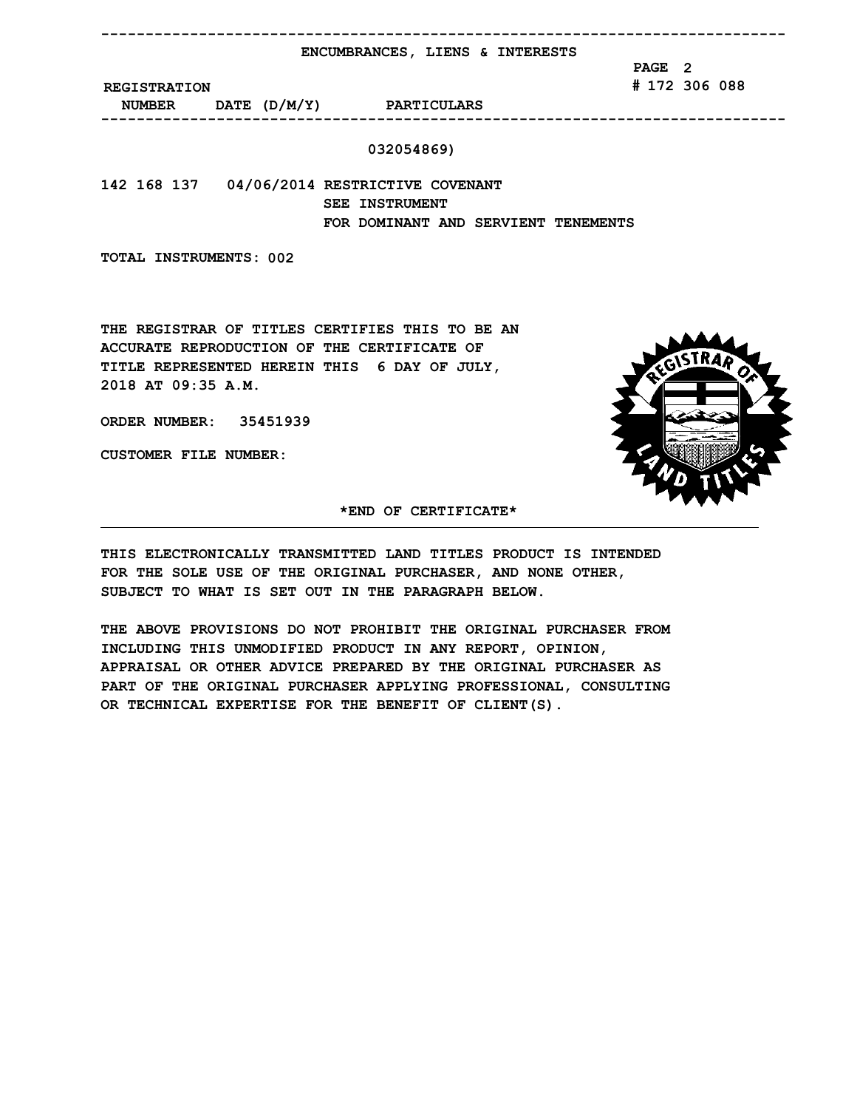**----------------------------------------------------------------------------- ENCUMBRANCES, LIENS & INTERESTS**

> **PAGE 2 # 172 306 088**

**REGISTRATION**

**DATE (D/M/Y) PARTICULARS NUMBER -----------------------------------------------------------------------------**

## **032054869)**

**142 168 137 04/06/2014 RESTRICTIVE COVENANT SEE INSTRUMENT FOR DOMINANT AND SERVIENT TENEMENTS**

**TOTAL INSTRUMENTS: 002**

**THE REGISTRAR OF TITLES CERTIFIES THIS TO BE AN ACCURATE REPRODUCTION OF THE CERTIFICATE OF TITLE REPRESENTED HEREIN THIS 6 DAY OF JULY, 2018 AT 09:35 A.M.**

**ORDER NUMBER: 35451939**

**CUSTOMER FILE NUMBER:**



**\*END OF CERTIFICATE\***

**THIS ELECTRONICALLY TRANSMITTED LAND TITLES PRODUCT IS INTENDED FOR THE SOLE USE OF THE ORIGINAL PURCHASER, AND NONE OTHER, SUBJECT TO WHAT IS SET OUT IN THE PARAGRAPH BELOW.**

**THE ABOVE PROVISIONS DO NOT PROHIBIT THE ORIGINAL PURCHASER FROM INCLUDING THIS UNMODIFIED PRODUCT IN ANY REPORT, OPINION, APPRAISAL OR OTHER ADVICE PREPARED BY THE ORIGINAL PURCHASER AS PART OF THE ORIGINAL PURCHASER APPLYING PROFESSIONAL, CONSULTING OR TECHNICAL EXPERTISE FOR THE BENEFIT OF CLIENT(S).**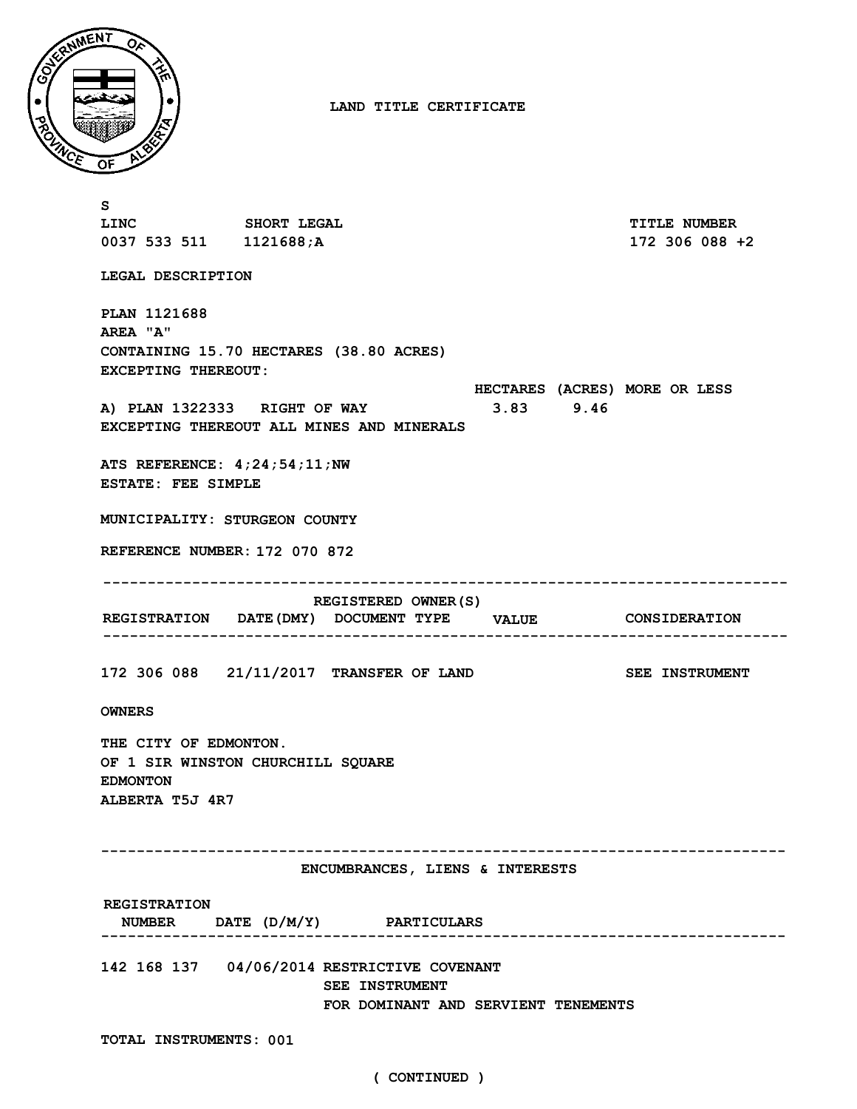

**LAND TITLE CERTIFICATE**

| s                                                                                                                                                                                   |  |  |  |  |  |                                       |
|-------------------------------------------------------------------------------------------------------------------------------------------------------------------------------------|--|--|--|--|--|---------------------------------------|
| LINC SHORT LEGAL<br>0037 533 511 1121688;A                                                                                                                                          |  |  |  |  |  | <b>TITLE NUMBER</b><br>172 306 088 +2 |
|                                                                                                                                                                                     |  |  |  |  |  |                                       |
| LEGAL DESCRIPTION                                                                                                                                                                   |  |  |  |  |  |                                       |
| <b>PLAN 1121688</b><br>AREA "A"<br>CONTAINING 15.70 HECTARES (38.80 ACRES)<br><b>EXCEPTING THEREOUT:</b><br>HECTARES (ACRES) MORE OR LESS<br>A) PLAN 1322333 RIGHT OF WAY 3.83 9.46 |  |  |  |  |  |                                       |
| EXCEPTING THEREOUT ALL MINES AND MINERALS                                                                                                                                           |  |  |  |  |  |                                       |
| ATS REFERENCE: $4;24;54;11;NN$<br><b>ESTATE: FEE SIMPLE</b>                                                                                                                         |  |  |  |  |  |                                       |
| MUNICIPALITY: STURGEON COUNTY                                                                                                                                                       |  |  |  |  |  |                                       |
| REFERENCE NUMBER: 172 070 872                                                                                                                                                       |  |  |  |  |  |                                       |
|                                                                                                                                                                                     |  |  |  |  |  |                                       |
| REGISTERED OWNER (S)<br>REGISTRATION DATE (DMY) DOCUMENT TYPE VALUE CONSIDERATION                                                                                                   |  |  |  |  |  |                                       |
| 172 306 088 21/11/2017 TRANSFER OF LAND                                                                                                                                             |  |  |  |  |  | <b>SEE INSTRUMENT</b>                 |
| <b>OWNERS</b>                                                                                                                                                                       |  |  |  |  |  |                                       |
| THE CITY OF EDMONTON.<br>OF 1 SIR WINSTON CHURCHILL SQUARE<br><b>EDMONTON</b><br>ALBERTA T5J 4R7                                                                                    |  |  |  |  |  |                                       |
| ENCUMBRANCES, LIENS & INTERESTS                                                                                                                                                     |  |  |  |  |  |                                       |
|                                                                                                                                                                                     |  |  |  |  |  |                                       |
| <b>REGISTRATION</b><br>NUMBER DATE (D/M/Y) PARTICULARS                                                                                                                              |  |  |  |  |  |                                       |
| 142 168 137 04/06/2014 RESTRICTIVE COVENANT<br><b>SEE INSTRUMENT</b><br>FOR DOMINANT AND SERVIENT TENEMENTS                                                                         |  |  |  |  |  |                                       |
| TOTAL INSTRUMENTS: 001                                                                                                                                                              |  |  |  |  |  |                                       |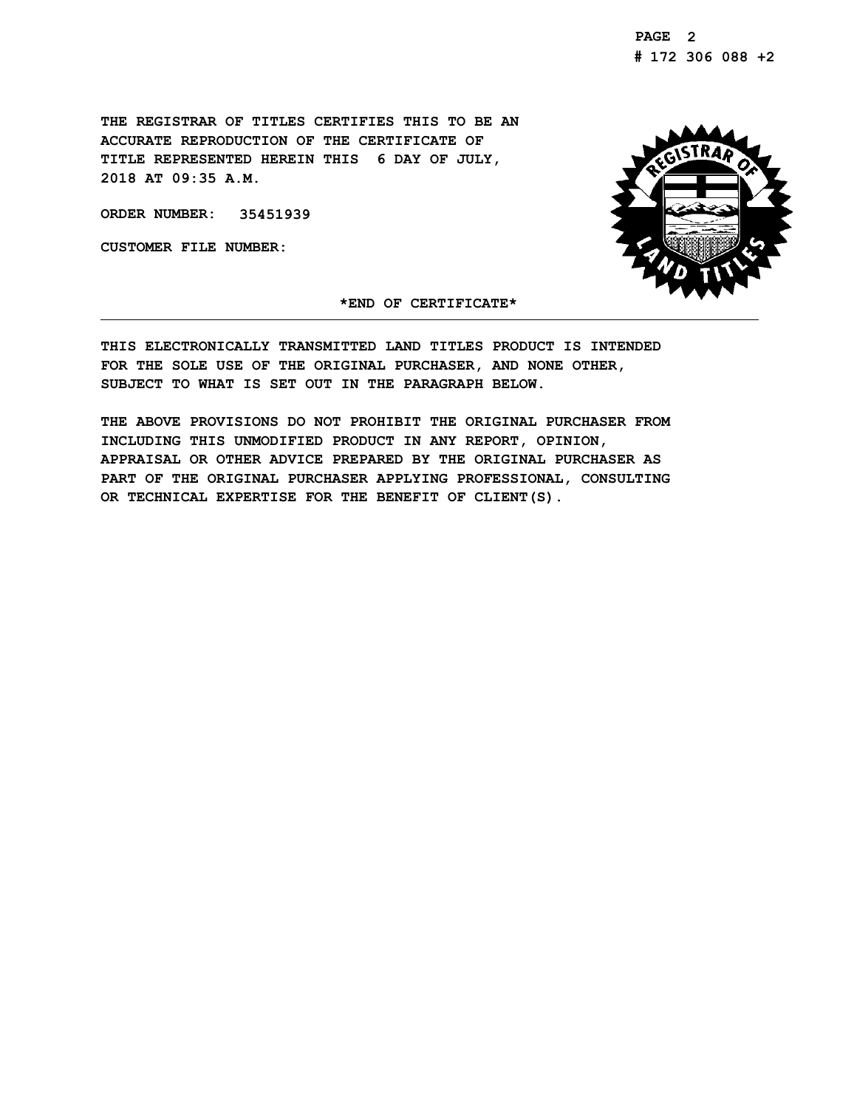**THE REGISTRAR OF TITLES CERTIFIES THIS TO BE AN ACCURATE REPRODUCTION OF THE CERTIFICATE OF TITLE REPRESENTED HEREIN THIS 6 DAY OF JULY, 2018 AT 09:35 A.M.**

**ORDER NUMBER: 35451939**

**CUSTOMER FILE NUMBER:**



**\*END OF CERTIFICATE\***

**THIS ELECTRONICALLY TRANSMITTED LAND TITLES PRODUCT IS INTENDED FOR THE SOLE USE OF THE ORIGINAL PURCHASER, AND NONE OTHER, SUBJECT TO WHAT IS SET OUT IN THE PARAGRAPH BELOW.**

**THE ABOVE PROVISIONS DO NOT PROHIBIT THE ORIGINAL PURCHASER FROM INCLUDING THIS UNMODIFIED PRODUCT IN ANY REPORT, OPINION, APPRAISAL OR OTHER ADVICE PREPARED BY THE ORIGINAL PURCHASER AS PART OF THE ORIGINAL PURCHASER APPLYING PROFESSIONAL, CONSULTING OR TECHNICAL EXPERTISE FOR THE BENEFIT OF CLIENT(S).**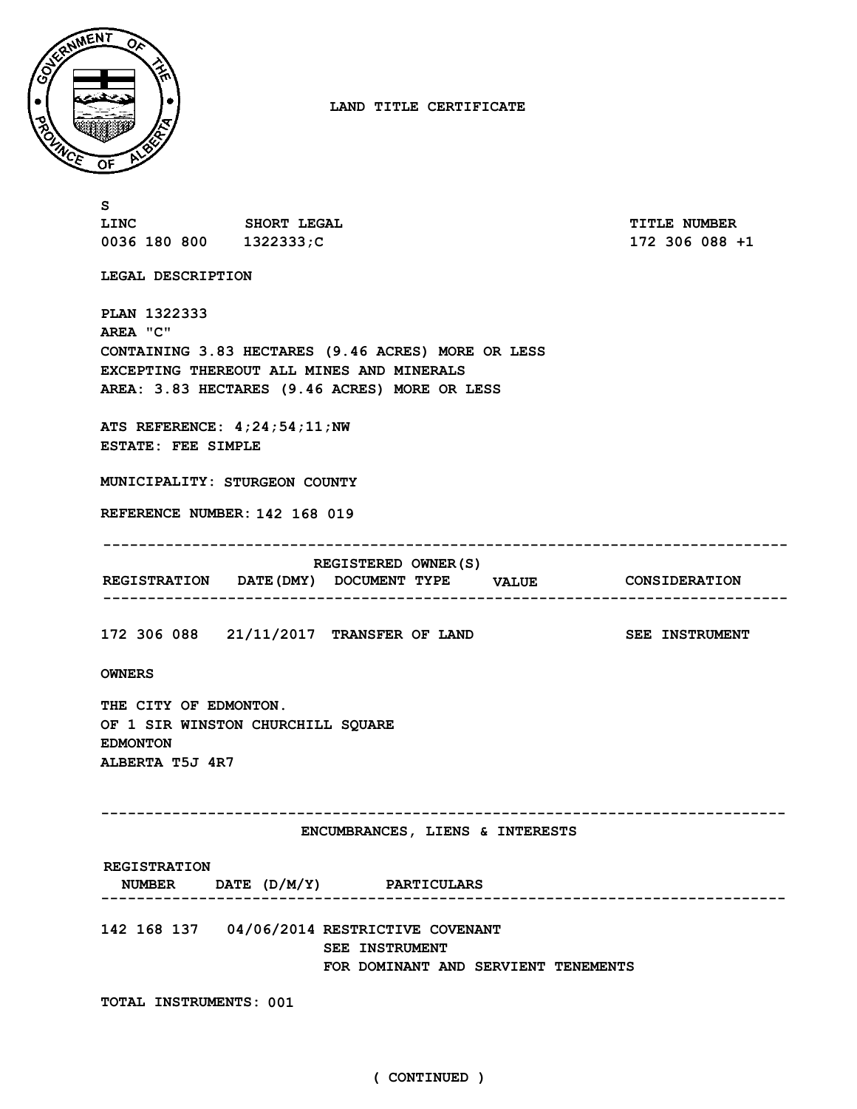

**LAND TITLE CERTIFICATE**

**S LINC SHORT LEGAL TITLE NUMBER 0036 180 800 1322333;C 172 306 088 +1 LEGAL DESCRIPTION PLAN 1322333 AREA "C" CONTAINING 3.83 HECTARES (9.46 ACRES) MORE OR LESS EXCEPTING THEREOUT ALL MINES AND MINERALS AREA: 3.83 HECTARES (9.46 ACRES) MORE OR LESS ATS REFERENCE: 4;24;54;11;NW ESTATE: FEE SIMPLE MUNICIPALITY: STURGEON COUNTY REFERENCE NUMBER: 142 168 019 DOCUMENT TYPE VALUE CONSIDERATION REGISTRATION DATE(DMY) REGISTERED OWNER(S) 172 306 088 21/11/2017 TRANSFER OF LAND SEE INSTRUMENT ----------------------------------------------------------------------------- ----------------------------------------------------------------------------- OWNERS THE CITY OF EDMONTON. OF 1 SIR WINSTON CHURCHILL SQUARE EDMONTON ALBERTA T5J 4R7 ----------------------------------------------------------------------------- DATE (D/M/Y) PARTICULARS NUMBER ENCUMBRANCES, LIENS & INTERESTS REGISTRATION ----------------------------------------------------------------------------- 142 168 137 04/06/2014 RESTRICTIVE COVENANT SEE INSTRUMENT FOR DOMINANT AND SERVIENT TENEMENTS TOTAL INSTRUMENTS: 001**